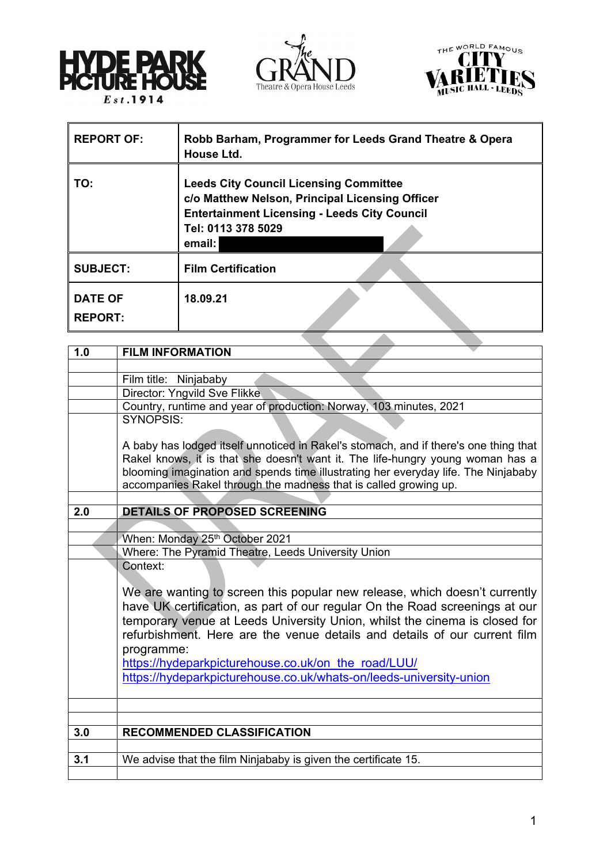





| <b>REPORT OF:</b>                | Robb Barham, Programmer for Leeds Grand Theatre & Opera<br>House Ltd.                                                                                                                   |
|----------------------------------|-----------------------------------------------------------------------------------------------------------------------------------------------------------------------------------------|
| TO:                              | <b>Leeds City Council Licensing Committee</b><br>c/o Matthew Nelson, Principal Licensing Officer<br><b>Entertainment Licensing - Leeds City Council</b><br>Tel: 0113 378 5029<br>email: |
| <b>SUBJECT:</b>                  | <b>Film Certification</b>                                                                                                                                                               |
| <b>DATE OF</b><br><b>REPORT:</b> | 18.09.21                                                                                                                                                                                |
|                                  |                                                                                                                                                                                         |

| 1.0 | <b>FILM INFORMATION</b>                                                                                                                                                                                                                                                                                                            |
|-----|------------------------------------------------------------------------------------------------------------------------------------------------------------------------------------------------------------------------------------------------------------------------------------------------------------------------------------|
|     |                                                                                                                                                                                                                                                                                                                                    |
|     | Film title: Ninjababy                                                                                                                                                                                                                                                                                                              |
|     | Director: Yngvild Sve Flikke                                                                                                                                                                                                                                                                                                       |
|     | Country, runtime and year of production: Norway, 103 minutes, 2021                                                                                                                                                                                                                                                                 |
|     | SYNOPSIS:                                                                                                                                                                                                                                                                                                                          |
|     | A baby has lodged itself unnoticed in Rakel's stomach, and if there's one thing that<br>Rakel knows, it is that she doesn't want it. The life-hungry young woman has a<br>blooming imagination and spends time illustrating her everyday life. The Ninjababy<br>accompanies Rakel through the madness that is called growing up.   |
|     |                                                                                                                                                                                                                                                                                                                                    |
| 2.0 | DETAILS OF PROPOSED SCREENING                                                                                                                                                                                                                                                                                                      |
|     |                                                                                                                                                                                                                                                                                                                                    |
|     | When: Monday 25th October 2021                                                                                                                                                                                                                                                                                                     |
|     | Where: The Pyramid Theatre, Leeds University Union                                                                                                                                                                                                                                                                                 |
|     | Context:                                                                                                                                                                                                                                                                                                                           |
|     | We are wanting to screen this popular new release, which doesn't currently<br>have UK certification, as part of our regular On the Road screenings at our<br>temporary venue at Leeds University Union, whilst the cinema is closed for<br>refurbishment. Here are the venue details and details of our current film<br>programme: |
|     | https://hydeparkpicturehouse.co.uk/on the road/LUU/                                                                                                                                                                                                                                                                                |
|     | https://hydeparkpicturehouse.co.uk/whats-on/leeds-university-union                                                                                                                                                                                                                                                                 |
|     |                                                                                                                                                                                                                                                                                                                                    |
|     |                                                                                                                                                                                                                                                                                                                                    |
| 3.0 | <b>RECOMMENDED CLASSIFICATION</b>                                                                                                                                                                                                                                                                                                  |
|     |                                                                                                                                                                                                                                                                                                                                    |
| 3.1 | We advise that the film Ninjababy is given the certificate 15.                                                                                                                                                                                                                                                                     |
|     |                                                                                                                                                                                                                                                                                                                                    |